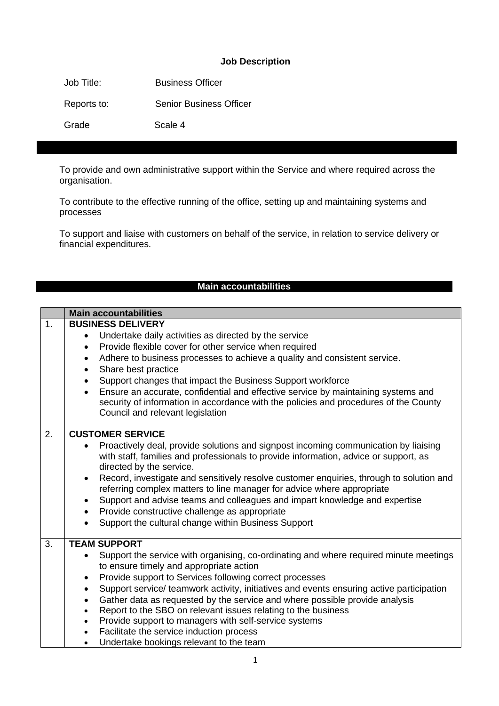### **Job Description**

Job Title: Business Officer

Reports to: Senior Business Officer

Grade Scale 4

To provide and own administrative support within the Service and where required across the organisation.

To contribute to the effective running of the office, setting up and maintaining systems and processes

To support and liaise with customers on behalf of the service, in relation to service delivery or financial expenditures.

#### **Main accountabilities**

|                | <b>Main accountabilities</b>                                                                                                                                                                                                                                                                                                                                                                                                                                                                                                                                                     |  |  |  |
|----------------|----------------------------------------------------------------------------------------------------------------------------------------------------------------------------------------------------------------------------------------------------------------------------------------------------------------------------------------------------------------------------------------------------------------------------------------------------------------------------------------------------------------------------------------------------------------------------------|--|--|--|
| $\mathbf{1}$ . | <b>BUSINESS DELIVERY</b>                                                                                                                                                                                                                                                                                                                                                                                                                                                                                                                                                         |  |  |  |
|                | Undertake daily activities as directed by the service<br>$\bullet$<br>Provide flexible cover for other service when required<br>$\bullet$<br>Adhere to business processes to achieve a quality and consistent service.<br>$\bullet$<br>Share best practice<br>$\bullet$<br>Support changes that impact the Business Support workforce<br>$\bullet$<br>Ensure an accurate, confidential and effective service by maintaining systems and<br>$\bullet$<br>security of information in accordance with the policies and procedures of the County<br>Council and relevant legislation |  |  |  |
| 2.             | <b>CUSTOMER SERVICE</b><br>Proactively deal, provide solutions and signpost incoming communication by liaising<br>$\bullet$<br>with staff, families and professionals to provide information, advice or support, as<br>directed by the service.                                                                                                                                                                                                                                                                                                                                  |  |  |  |
|                | Record, investigate and sensitively resolve customer enquiries, through to solution and<br>$\bullet$<br>referring complex matters to line manager for advice where appropriate<br>Support and advise teams and colleagues and impart knowledge and expertise<br>$\bullet$<br>Provide constructive challenge as appropriate<br>$\bullet$<br>Support the cultural change within Business Support<br>$\bullet$                                                                                                                                                                      |  |  |  |
| 3.             | <b>TEAM SUPPORT</b>                                                                                                                                                                                                                                                                                                                                                                                                                                                                                                                                                              |  |  |  |
|                | Support the service with organising, co-ordinating and where required minute meetings<br>$\bullet$<br>to ensure timely and appropriate action                                                                                                                                                                                                                                                                                                                                                                                                                                    |  |  |  |
|                | Provide support to Services following correct processes<br>$\bullet$                                                                                                                                                                                                                                                                                                                                                                                                                                                                                                             |  |  |  |
|                | Support service/ teamwork activity, initiatives and events ensuring active participation<br>$\bullet$                                                                                                                                                                                                                                                                                                                                                                                                                                                                            |  |  |  |
|                | Gather data as requested by the service and where possible provide analysis<br>$\bullet$<br>Report to the SBO on relevant issues relating to the business<br>$\bullet$                                                                                                                                                                                                                                                                                                                                                                                                           |  |  |  |
|                | Provide support to managers with self-service systems<br>$\bullet$                                                                                                                                                                                                                                                                                                                                                                                                                                                                                                               |  |  |  |
|                | Facilitate the service induction process<br>$\bullet$                                                                                                                                                                                                                                                                                                                                                                                                                                                                                                                            |  |  |  |
|                | Undertake bookings relevant to the team<br>$\bullet$                                                                                                                                                                                                                                                                                                                                                                                                                                                                                                                             |  |  |  |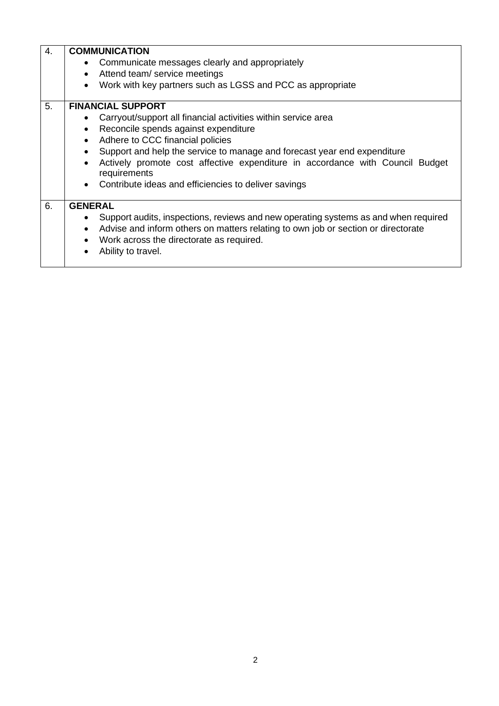| $\overline{4}$ . | <b>COMMUNICATION</b><br>Communicate messages clearly and appropriately<br>٠<br>Attend team/ service meetings<br>$\bullet$<br>Work with key partners such as LGSS and PCC as appropriate<br>$\bullet$                                                                                                                                                                                                                                                                             |
|------------------|----------------------------------------------------------------------------------------------------------------------------------------------------------------------------------------------------------------------------------------------------------------------------------------------------------------------------------------------------------------------------------------------------------------------------------------------------------------------------------|
| 5.               | <b>FINANCIAL SUPPORT</b><br>Carryout/support all financial activities within service area<br>٠<br>Reconcile spends against expenditure<br>$\bullet$<br>Adhere to CCC financial policies<br>$\bullet$<br>Support and help the service to manage and forecast year end expenditure<br>$\bullet$<br>Actively promote cost affective expenditure in accordance with Council Budget<br>$\bullet$<br>requirements<br>Contribute ideas and efficiencies to deliver savings<br>$\bullet$ |
| 6.               | <b>GENERAL</b><br>Support audits, inspections, reviews and new operating systems as and when required<br>٠<br>Advise and inform others on matters relating to own job or section or directorate<br>$\bullet$<br>Work across the directorate as required.<br>$\bullet$<br>Ability to travel.                                                                                                                                                                                      |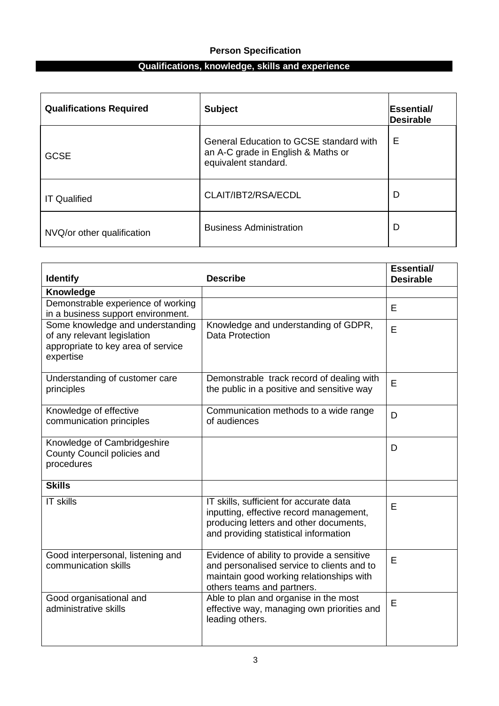# **Person Specification**

# **Qualifications, knowledge, skills and experience**

| <b>Qualifications Required</b> | <b>Subject</b>                                                                                               | <b> Essential/</b><br><b>Desirable</b> |
|--------------------------------|--------------------------------------------------------------------------------------------------------------|----------------------------------------|
| <b>GCSE</b>                    | <b>General Education to GCSE standard with</b><br>an A-C grade in English & Maths or<br>equivalent standard. | Е                                      |
| <b>IT Qualified</b>            | CLAIT/IBT2/RSA/ECDL                                                                                          | D                                      |
| NVQ/or other qualification     | <b>Business Administration</b>                                                                               | D                                      |

| <b>Identify</b>                                                                                                    | <b>Describe</b>                                                                                                                                                       | <b>Essential/</b><br><b>Desirable</b> |
|--------------------------------------------------------------------------------------------------------------------|-----------------------------------------------------------------------------------------------------------------------------------------------------------------------|---------------------------------------|
| Knowledge                                                                                                          |                                                                                                                                                                       |                                       |
| Demonstrable experience of working<br>in a business support environment.                                           |                                                                                                                                                                       | E                                     |
| Some knowledge and understanding<br>of any relevant legislation<br>appropriate to key area of service<br>expertise | Knowledge and understanding of GDPR,<br>Data Protection                                                                                                               | E                                     |
| Understanding of customer care<br>principles                                                                       | Demonstrable track record of dealing with<br>the public in a positive and sensitive way                                                                               | E                                     |
| Knowledge of effective<br>communication principles                                                                 | Communication methods to a wide range<br>of audiences                                                                                                                 | D                                     |
| Knowledge of Cambridgeshire<br>County Council policies and<br>procedures                                           |                                                                                                                                                                       | D                                     |
| <b>Skills</b>                                                                                                      |                                                                                                                                                                       |                                       |
| <b>IT skills</b>                                                                                                   | IT skills, sufficient for accurate data<br>inputting, effective record management,<br>producing letters and other documents,<br>and providing statistical information | E                                     |
| Good interpersonal, listening and<br>communication skills                                                          | Evidence of ability to provide a sensitive<br>and personalised service to clients and to<br>maintain good working relationships with<br>others teams and partners.    | E                                     |
| Good organisational and<br>administrative skills                                                                   | Able to plan and organise in the most<br>effective way, managing own priorities and<br>leading others.                                                                | E                                     |